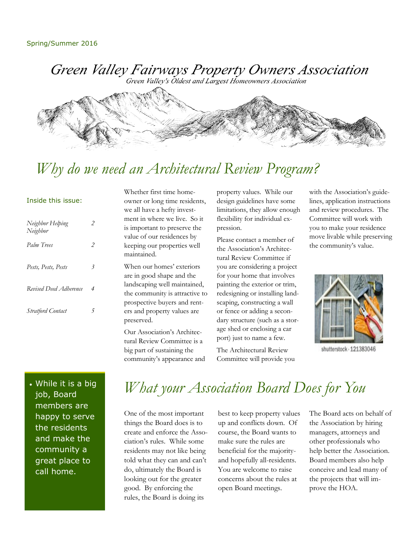Green Valley Fairways Property Owners Association

Green Valley's Oldest and Largest Homeowners Association



## *Why do we need an Architectural Review Program?*

#### Inside this issue:

| Neighbor Helping<br>Neighbor | 2 |
|------------------------------|---|
| Palm Trees                   | 2 |
| Pests, Pests, Pests          | 3 |
| Revised Deed Adherence       | 4 |
| <b>Stratford Contact</b>     |   |

Whether first time homeowner or long time residents, we all have a hefty investment in where we live. So it is important to preserve the value of our residences by keeping our properties well maintained.

When our homes' exteriors are in good shape and the landscaping well maintained, the community is attractive to prospective buyers and renters and property values are preserved.

Our Association's Architectural Review Committee is a big part of sustaining the community's appearance and property values. While our design guidelines have some limitations, they allow enough flexibility for individual expression.

Please contact a member of the Association's Architectural Review Committee if you are considering a project for your home that involves painting the exterior or trim, redesigning or installing landscaping, constructing a wall or fence or adding a secondary structure (such as a storage shed or enclosing a car port) just to name a few.

The Architectural Review Committee will provide you with the Association's guidelines, application instructions and review procedures. The Committee will work with you to make your residence move livable while preserving the community's value.



shutterstock · 121383046

. While it is a big job, Board members are happy to serve the residents and make the community a great place to call home.

# *What your Association Board Does for You*

One of the most important things the Board does is to create and enforce the Association's rules. While some residents may not like being told what they can and can't do, ultimately the Board is looking out for the greater good. By enforcing the rules, the Board is doing its

best to keep property values up and conflicts down. Of course, the Board wants to make sure the rules are beneficial for the majorityand hopefully all-residents. You are welcome to raise concerns about the rules at open Board meetings.

The Board acts on behalf of the Association by hiring managers, attorneys and other professionals who help better the Association. Board members also help conceive and lead many of the projects that will improve the HOA.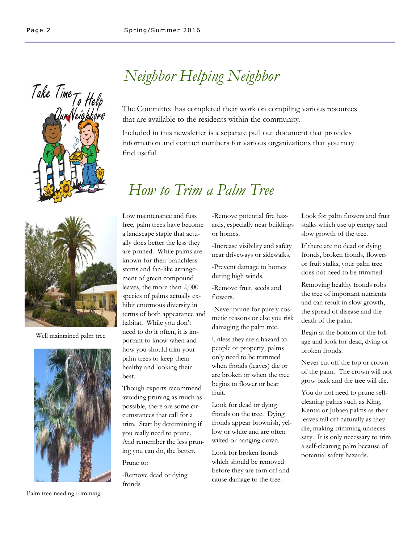



Well maintained palm tree



Palm tree needing trimming

## *Neighbor Helping Neighbor*

The Committee has completed their work on compiling various resources that are available to the residents within the community.

Included in this newsletter is a separate pull out document that provides information and contact numbers for various organizations that you may find useful.

### *How to Trim a Palm Tree*

Low maintenance and fuss free, palm trees have become a landscape staple that actually does better the less they are pruned. While palms are known for their branchless stems and fan-like arrangement of green compound leaves, the more than 2,000 species of palms actually exhibit enormous diversity in terms of both appearance and habitat. While you don't need to do it often, it is important to know when and how you should trim your palm trees to keep them healthy and looking their best.

Though experts recommend avoiding pruning as much as possible, there are some circumstances that call for a trim. Start by determining if you really need to prune. And remember the less pruning you can do, the better.

Prune to:

-Remove dead or dying fronds

-Remove potential fire hazards, especially near buildings or homes.

-Increase visibility and safety near driveways or sidewalks.

-Prevent damage to homes during high winds.

-Remove fruit, seeds and flowers.

-Never prune for purely cosmetic reasons or else you risk damaging the palm tree.

Unless they are a hazard to people or property, palms only need to be trimmed when fronds (leaves) die or are broken or when the tree begins to flower or bear fruit.

Look for dead or dying fronds on the tree. Dying fronds appear brownish, yellow or white and are often wilted or hanging down.

Look for broken fronds which should be removed before they are torn off and cause damage to the tree.

Look for palm flowers and fruit stalks which use up energy and slow growth of the tree.

If there are no dead or dying fronds, broken fronds, flowers or fruit stalks, your palm tree does not need to be trimmed.

Removing healthy fronds robs the tree of important nutrients and can result in slow growth, the spread of disease and the death of the palm.

Begin at the bottom of the foliage and look for dead, dying or broken fronds.

Never cut off the top or crown of the palm. The crown will not grow back and the tree will die.

You do not need to prune selfcleaning palms such as King, Kentia or Jubaea palms as their leaves fall off naturally as they die, making trimming unnecessary. It is only necessary to trim a self-cleaning palm because of potential safety hazards.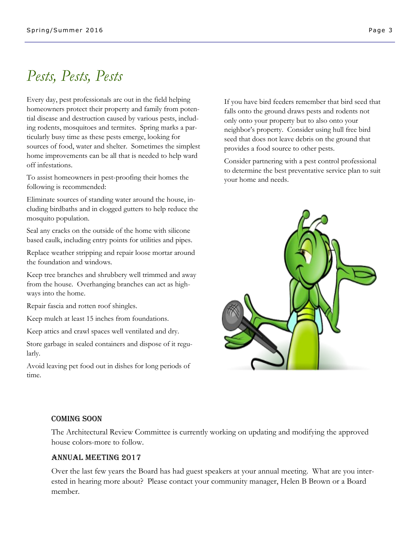## *Pests, Pests, Pests*

Every day, pest professionals are out in the field helping homeowners protect their property and family from potential disease and destruction caused by various pests, including rodents, mosquitoes and termites. Spring marks a particularly busy time as these pests emerge, looking for sources of food, water and shelter. Sometimes the simplest home improvements can be all that is needed to help ward off infestations.

To assist homeowners in pest-proofing their homes the following is recommended:

Eliminate sources of standing water around the house, including birdbaths and in clogged gutters to help reduce the mosquito population.

Seal any cracks on the outside of the home with silicone based caulk, including entry points for utilities and pipes.

Replace weather stripping and repair loose mortar around the foundation and windows.

Keep tree branches and shrubbery well trimmed and away from the house. Overhanging branches can act as highways into the home.

Repair fascia and rotten roof shingles.

Keep mulch at least 15 inches from foundations.

Keep attics and crawl spaces well ventilated and dry.

Store garbage in sealed containers and dispose of it regularly.

Avoid leaving pet food out in dishes for long periods of time.

If you have bird feeders remember that bird seed that falls onto the ground draws pests and rodents not only onto your property but to also onto your neighbor's property. Consider using hull free bird seed that does not leave debris on the ground that provides a food source to other pests.

Consider partnering with a pest control professional to determine the best preventative service plan to suit your home and needs.



#### COMING SOON

The Architectural Review Committee is currently working on updating and modifying the approved house colors-more to follow.

#### Annual Meeting 2017

Over the last few years the Board has had guest speakers at your annual meeting. What are you interested in hearing more about? Please contact your community manager, Helen B Brown or a Board member.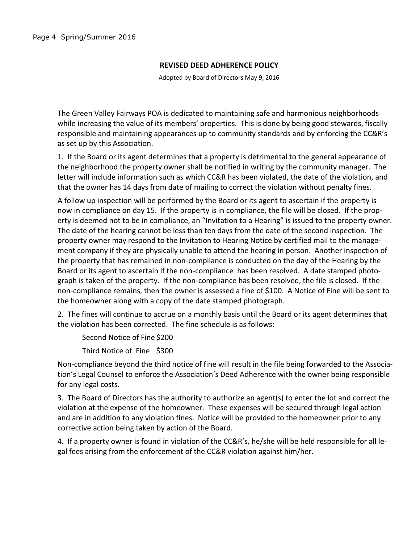#### **REVISED DEED ADHERENCE POLICY**

Adopted by Board of Directors May 9, 2016

The Green Valley Fairways POA is dedicated to maintaining safe and harmonious neighborhoods while increasing the value of its members' properties. This is done by being good stewards, fiscally responsible and maintaining appearances up to community standards and by enforcing the CC&R's as set up by this Association.

1. If the Board or its agent determines that a property is detrimental to the general appearance of the neighborhood the property owner shall be notified in writing by the community manager. The letter will include information such as which CC&R has been violated, the date of the violation, and that the owner has 14 days from date of mailing to correct the violation without penalty fines.

A follow up inspection will be performed by the Board or its agent to ascertain if the property is now in compliance on day 15. If the property is in compliance, the file will be closed. If the property is deemed not to be in compliance, an "Invitation to a Hearing" is issued to the property owner. The date of the hearing cannot be less than ten days from the date of the second inspection. The property owner may respond to the Invitation to Hearing Notice by certified mail to the management company if they are physically unable to attend the hearing in person. Another inspection of the property that has remained in non-compliance is conducted on the day of the Hearing by the Board or its agent to ascertain if the non-compliance has been resolved. A date stamped photograph is taken of the property. If the non-compliance has been resolved, the file is closed. If the non-compliance remains, then the owner is assessed a fine of \$100. A Notice of Fine will be sent to the homeowner along with a copy of the date stamped photograph.

2. The fines will continue to accrue on a monthly basis until the Board or its agent determines that the violation has been corrected. The fine schedule is as follows:

Second Notice of Fine \$200

Third Notice of Fine \$300

Non-compliance beyond the third notice of fine will result in the file being forwarded to the Association's Legal Counsel to enforce the Association's Deed Adherence with the owner being responsible for any legal costs.

3. The Board of Directors has the authority to authorize an agent(s) to enter the lot and correct the violation at the expense of the homeowner. These expenses will be secured through legal action and are in addition to any violation fines. Notice will be provided to the homeowner prior to any corrective action being taken by action of the Board.

4. If a property owner is found in violation of the CC&R's, he/she will be held responsible for all legal fees arising from the enforcement of the CC&R violation against him/her.